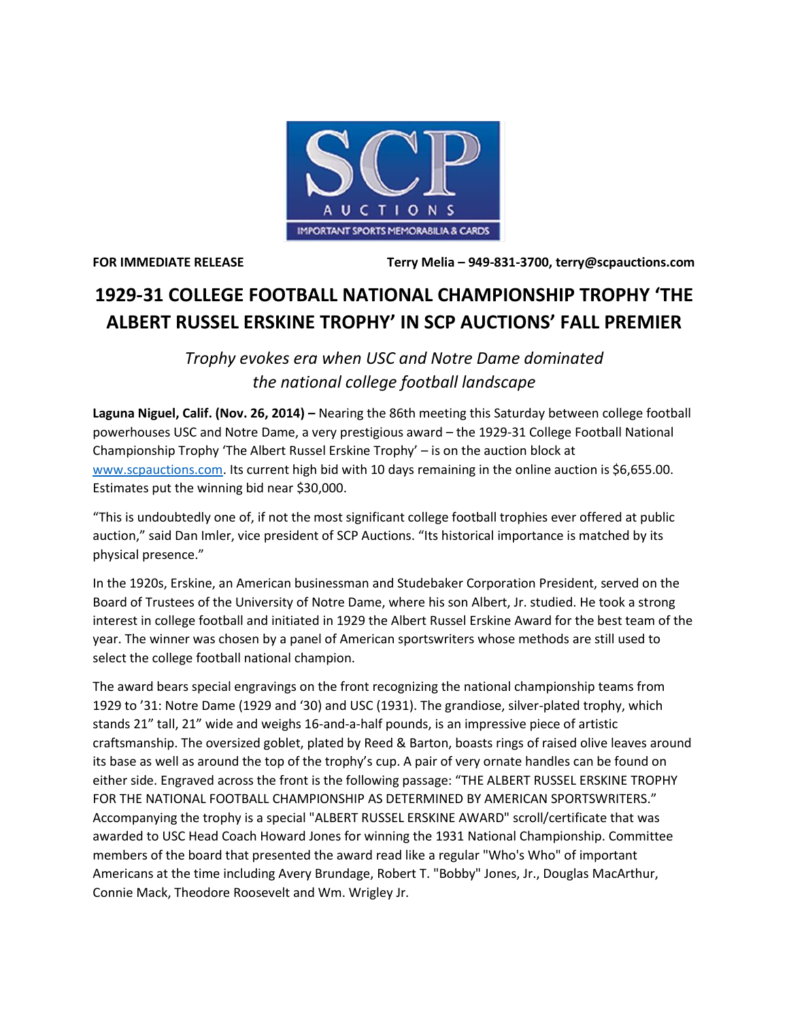

**FOR IMMEDIATE RELEASE Terry Melia – 949-831-3700, terry@scpauctions.com**

## **1929-31 COLLEGE FOOTBALL NATIONAL CHAMPIONSHIP TROPHY 'THE ALBERT RUSSEL ERSKINE TROPHY' IN SCP AUCTIONS' FALL PREMIER**

*Trophy evokes era when USC and Notre Dame dominated the national college football landscape* 

**Laguna Niguel, Calif. (Nov. 26, 2014) –** Nearing the 86th meeting this Saturday between college football powerhouses USC and Notre Dame, a very prestigious award – the 1929-31 College Football National Championship Trophy 'The Albert Russel Erskine Trophy' – is on the auction block at [www.scpauctions.com.](http://www.scpauctions.com/) Its current high bid with 10 days remaining in the online auction is \$6,655.00. Estimates put the winning bid near \$30,000.

"This is undoubtedly one of, if not the most significant college football trophies ever offered at public auction," said Dan Imler, vice president of SCP Auctions. "Its historical importance is matched by its physical presence."

In the 1920s, Erskine, an American businessman and Studebaker Corporation President, served on the Board of Trustees of the University of Notre Dame, where his son Albert, Jr. studied. He took a strong interest in college football and initiated in 1929 the Albert Russel Erskine Award for the best team of the year. The winner was chosen by a panel of American sportswriters whose methods are still used to select the college football national champion.

The award bears special engravings on the front recognizing the national championship teams from 1929 to '31: Notre Dame (1929 and '30) and USC (1931). The grandiose, silver-plated trophy, which stands 21" tall, 21" wide and weighs 16-and-a-half pounds, is an impressive piece of artistic craftsmanship. The oversized goblet, plated by Reed & Barton, boasts rings of raised olive leaves around its base as well as around the top of the trophy's cup. A pair of very ornate handles can be found on either side. Engraved across the front is the following passage: "THE ALBERT RUSSEL ERSKINE TROPHY FOR THE NATIONAL FOOTBALL CHAMPIONSHIP AS DETERMINED BY AMERICAN SPORTSWRITERS." Accompanying the trophy is a special "ALBERT RUSSEL ERSKINE AWARD" scroll/certificate that was awarded to USC Head Coach Howard Jones for winning the 1931 National Championship. Committee members of the board that presented the award read like a regular "Who's Who" of important Americans at the time including Avery Brundage, Robert T. "Bobby" Jones, Jr., Douglas MacArthur, Connie Mack, Theodore Roosevelt and Wm. Wrigley Jr.